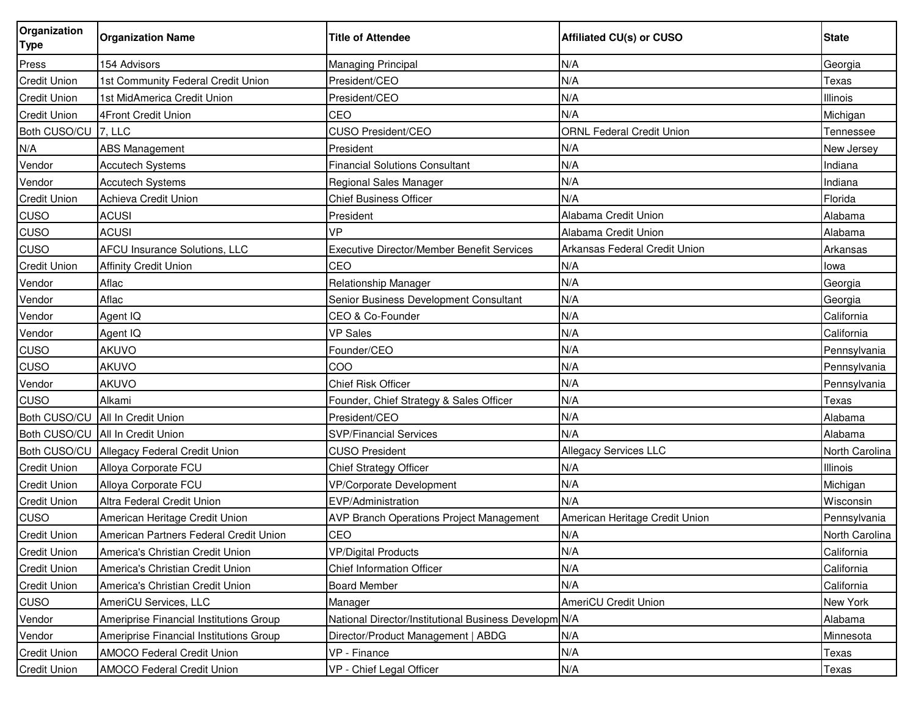| Organization<br><b>Type</b> | <b>Organization Name</b>                | <b>Title of Attendee</b>                              | <b>Affiliated CU(s) or CUSO</b>  | <b>State</b>    |
|-----------------------------|-----------------------------------------|-------------------------------------------------------|----------------------------------|-----------------|
| Press                       | 154 Advisors                            | Managing Principal                                    | N/A                              | Georgia         |
| <b>Credit Union</b>         | 1st Community Federal Credit Union      | President/CEO                                         | N/A                              | Texas           |
| <b>Credit Union</b>         | 1st MidAmerica Credit Union             | President/CEO                                         | N/A                              | Illinois        |
| <b>Credit Union</b>         | 4Front Credit Union                     | CEO                                                   | N/A                              | Michigan        |
| Both CUSO/CU                | 7. L <sub>L</sub>                       | CUSO President/CEO                                    | <b>ORNL Federal Credit Union</b> | Tennessee       |
| N/A                         | <b>ABS Management</b>                   | President                                             | N/A                              | New Jersey      |
| Vendor                      | <b>Accutech Systems</b>                 | <b>Financial Solutions Consultant</b>                 | N/A                              | Indiana         |
| Vendor                      | <b>Accutech Systems</b>                 | Regional Sales Manager                                | N/A                              | Indiana         |
| <b>Credit Union</b>         | Achieva Credit Union                    | Chief Business Officer                                | N/A                              | Florida         |
| <b>CUSO</b>                 | <b>ACUSI</b>                            | President                                             | Alabama Credit Union             | Alabama         |
| <b>CUSO</b>                 | <b>ACUSI</b>                            | VP                                                    | Alabama Credit Union             | Alabama         |
| <b>CUSO</b>                 | <b>AFCU Insurance Solutions, LLC</b>    | Executive Director/Member Benefit Services            | Arkansas Federal Credit Union    | <b>Arkansas</b> |
| <b>Credit Union</b>         | <b>Affinity Credit Union</b>            | CEO                                                   | N/A                              | lowa            |
| Vendor                      | Aflac                                   | <b>Relationship Manager</b>                           | N/A                              | Georgia         |
| Vendor                      | Aflac                                   | Senior Business Development Consultant                | N/A                              | Georgia         |
| Vendor                      | Agent IQ                                | CEO & Co-Founder                                      | N/A                              | California      |
| Vendor                      | Agent IQ                                | <b>VP Sales</b>                                       | N/A                              | California      |
| CUSO                        | AKUVO                                   | Founder/CEO                                           | N/A                              | Pennsylvania    |
| <b>CUSO</b>                 | <b>AKUVO</b>                            | COO                                                   | N/A                              | Pennsylvania    |
| Vendor                      | <b>AKUVO</b>                            | <b>Chief Risk Officer</b>                             | N/A                              | Pennsylvania    |
| <b>CUSO</b>                 | Alkami                                  | Founder, Chief Strategy & Sales Officer               | N/A                              | Texas           |
| Both CUSO/CU                | All In Credit Union                     | President/CEO                                         | N/A                              | Alabama         |
| Both CUSO/CU                | All In Credit Union                     | <b>SVP/Financial Services</b>                         | N/A                              | Alabama         |
| Both CUSO/CU                | Allegacy Federal Credit Union           | <b>CUSO President</b>                                 | Allegacy Services LLC            | North Carolina  |
| <b>Credit Union</b>         | Alloya Corporate FCU                    | Chief Strategy Officer                                | N/A                              | Illinois        |
| <b>Credit Union</b>         | Alloya Corporate FCU                    | <b>VP/Corporate Development</b>                       | N/A                              | Michigan        |
| <b>Credit Union</b>         | Altra Federal Credit Union              | EVP/Administration                                    | N/A                              | Wisconsin       |
| <b>CUSO</b>                 | American Heritage Credit Union          | AVP Branch Operations Project Management              | American Heritage Credit Union   | Pennsylvania    |
| <b>Credit Union</b>         | American Partners Federal Credit Union  | CEO                                                   | N/A                              | North Carolina  |
| <b>Credit Union</b>         | America's Christian Credit Union        | <b>VP/Digital Products</b>                            | N/A                              | California      |
| <b>Credit Union</b>         | America's Christian Credit Union        | <b>Chief Information Officer</b>                      | N/A                              | California      |
| <b>Credit Union</b>         | America's Christian Credit Union        | <b>Board Member</b>                                   | N/A                              | California      |
| CUSO                        | AmeriCU Services, LLC                   | Manager                                               | <b>AmeriCU Credit Union</b>      | New York        |
| Vendor                      | Ameriprise Financial Institutions Group | National Director/Institutional Business Developm N/A |                                  | Alabama         |
| Vendor                      | Ameriprise Financial Institutions Group | Director/Product Management   ABDG                    | N/A                              | Minnesota       |
| <b>Credit Union</b>         | <b>AMOCO Federal Credit Union</b>       | VP - Finance                                          | N/A                              | Texas           |
| <b>Credit Union</b>         | <b>AMOCO Federal Credit Union</b>       | VP - Chief Legal Officer                              | N/A                              | Texas           |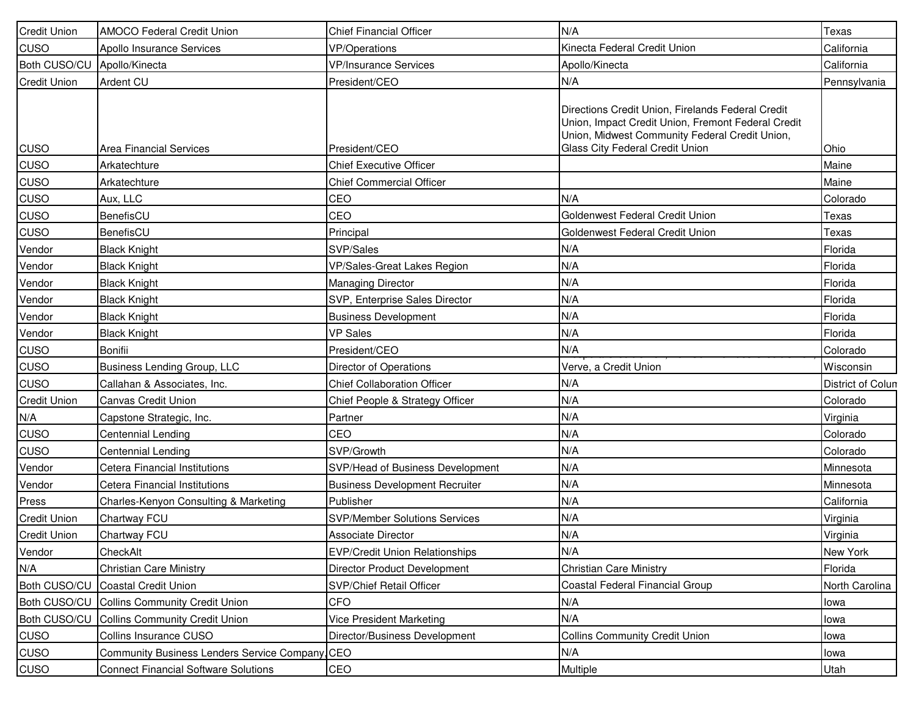| <b>Credit Union</b> | <b>AMOCO Federal Credit Union</b>               | <b>Chief Financial Officer</b>        | N/A                                                                                                                                                                                          | Texas             |
|---------------------|-------------------------------------------------|---------------------------------------|----------------------------------------------------------------------------------------------------------------------------------------------------------------------------------------------|-------------------|
| <b>CUSO</b>         | Apollo Insurance Services                       | <b>VP/Operations</b>                  | Kinecta Federal Credit Union                                                                                                                                                                 | California        |
| Both CUSO/CU        | Apollo/Kinecta                                  | <b>VP/Insurance Services</b>          | Apollo/Kinecta                                                                                                                                                                               | California        |
| <b>Credit Union</b> | Ardent CU                                       | President/CEO                         | N/A                                                                                                                                                                                          | Pennsylvania      |
| <b>CUSO</b>         | <b>Area Financial Services</b>                  | President/CEO                         | Directions Credit Union, Firelands Federal Credit<br>Union, Impact Credit Union, Fremont Federal Credit<br>Union, Midwest Community Federal Credit Union,<br>Glass City Federal Credit Union | Ohio              |
| <b>CUSO</b>         | Arkatechture                                    | <b>Chief Executive Officer</b>        |                                                                                                                                                                                              | Maine             |
| <b>CUSO</b>         | Arkatechture                                    | <b>Chief Commercial Officer</b>       |                                                                                                                                                                                              | Maine             |
| <b>CUSO</b>         | Aux, LLC                                        | CEO                                   | N/A                                                                                                                                                                                          | Colorado          |
| <b>CUSO</b>         | BenefisCU                                       | CEO                                   | Goldenwest Federal Credit Union                                                                                                                                                              | Texas             |
| <b>CUSO</b>         | BenefisCU                                       | Principal                             | Goldenwest Federal Credit Union                                                                                                                                                              | Texas             |
| Vendor              | <b>Black Knight</b>                             | SVP/Sales                             | N/A                                                                                                                                                                                          | Florida           |
| Vendor              | <b>Black Knight</b>                             | VP/Sales-Great Lakes Region           | N/A                                                                                                                                                                                          | Florida           |
| Vendor              | <b>Black Knight</b>                             | Managing Director                     | N/A                                                                                                                                                                                          | Florida           |
| Vendor              | <b>Black Knight</b>                             | SVP, Enterprise Sales Director        | N/A                                                                                                                                                                                          | Florida           |
| Vendor              | <b>Black Knight</b>                             | <b>Business Development</b>           | N/A                                                                                                                                                                                          | Florida           |
| Vendor              | <b>Black Knight</b>                             | <b>VP Sales</b>                       | N/A                                                                                                                                                                                          | Florida           |
| <b>CUSO</b>         | <b>Bonifii</b>                                  | President/CEO                         | N/A                                                                                                                                                                                          | Colorado          |
| <b>CUSO</b>         | Business Lending Group, LLC                     | Director of Operations                | Verve, a Credit Union                                                                                                                                                                        | Wisconsin         |
| <b>CUSO</b>         | Callahan & Associates, Inc.                     | <b>Chief Collaboration Officer</b>    | N/A                                                                                                                                                                                          | District of Colun |
| <b>Credit Union</b> | <b>Canvas Credit Union</b>                      | Chief People & Strategy Officer       | N/A                                                                                                                                                                                          | Colorado          |
| N/A                 | Capstone Strategic, Inc.                        | Partner                               | N/A                                                                                                                                                                                          | Virginia          |
| <b>CUSO</b>         | Centennial Lending                              | CEO                                   | N/A                                                                                                                                                                                          | Colorado          |
| <b>CUSO</b>         | <b>Centennial Lending</b>                       | SVP/Growth                            | N/A                                                                                                                                                                                          | Colorado          |
| Vendor              | Cetera Financial Institutions                   | SVP/Head of Business Development      | N/A                                                                                                                                                                                          | Minnesota         |
| Vendor              | Cetera Financial Institutions                   | <b>Business Development Recruiter</b> | N/A                                                                                                                                                                                          | Minnesota         |
| Press               | Charles-Kenyon Consulting & Marketing           | Publisher                             | N/A                                                                                                                                                                                          | California        |
| <b>Credit Union</b> | Chartway FCU                                    | <b>SVP/Member Solutions Services</b>  | N/A                                                                                                                                                                                          | Virginia          |
| <b>Credit Union</b> | Chartway FCU                                    | <b>Associate Director</b>             | N/A                                                                                                                                                                                          | Virginia          |
| Vendor              | CheckAlt                                        | <b>EVP/Credit Union Relationships</b> | N/A                                                                                                                                                                                          | New York          |
| N/A                 | <b>Christian Care Ministry</b>                  | <b>Director Product Development</b>   | <b>Christian Care Ministry</b>                                                                                                                                                               | Florida           |
| Both CUSO/CU        | <b>Coastal Credit Union</b>                     | SVP/Chief Retail Officer              | Coastal Federal Financial Group                                                                                                                                                              | North Carolina    |
| Both CUSO/CU        | <b>Collins Community Credit Union</b>           | <b>CFO</b>                            | N/A                                                                                                                                                                                          | lowa              |
| Both CUSO/CU        | <b>Collins Community Credit Union</b>           | Vice President Marketing              | N/A                                                                                                                                                                                          | lowa              |
| <b>CUSO</b>         | Collins Insurance CUSO                          | Director/Business Development         | <b>Collins Community Credit Union</b>                                                                                                                                                        | lowa              |
| <b>CUSO</b>         | Community Business Lenders Service Company, CEO |                                       | N/A                                                                                                                                                                                          | lowa              |
| <b>CUSO</b>         | <b>Connect Financial Software Solutions</b>     | CEO                                   | Multiple                                                                                                                                                                                     | Utah              |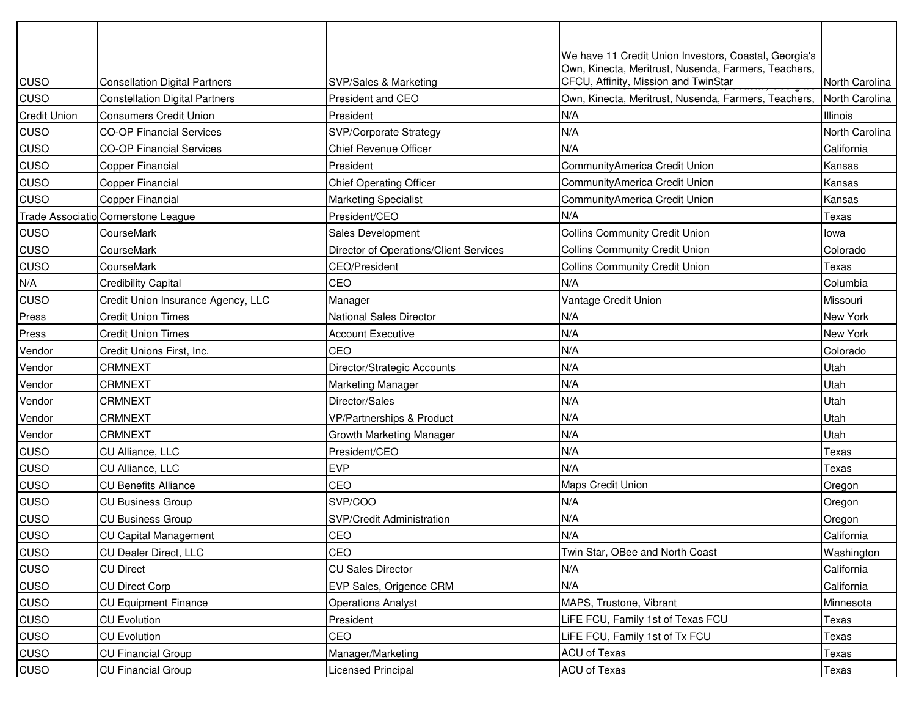|                     |                                       |                                        | We have 11 Credit Union Investors, Coastal, Georgia's<br>Own, Kinecta, Meritrust, Nusenda, Farmers, Teachers, |                 |
|---------------------|---------------------------------------|----------------------------------------|---------------------------------------------------------------------------------------------------------------|-----------------|
| CUSO                | <b>Consellation Digital Partners</b>  | SVP/Sales & Marketing                  | CFCU, Affinity, Mission and TwinStar                                                                          | North Carolina  |
| CUSO                | <b>Constellation Digital Partners</b> | President and CEO                      | Own, Kinecta, Meritrust, Nusenda, Farmers, Teachers,                                                          | North Carolina  |
| <b>Credit Union</b> | <b>Consumers Credit Union</b>         | President                              | N/A                                                                                                           | Illinois        |
| CUSO                | <b>CO-OP Financial Services</b>       | <b>SVP/Corporate Strategy</b>          | N/A                                                                                                           | North Carolina  |
| CUSO                | <b>CO-OP Financial Services</b>       | <b>Chief Revenue Officer</b>           | N/A                                                                                                           | California      |
| CUSO                | <b>Copper Financial</b>               | President                              | CommunityAmerica Credit Union                                                                                 | Kansas          |
| CUSO                | <b>Copper Financial</b>               | <b>Chief Operating Officer</b>         | CommunityAmerica Credit Union                                                                                 | Kansas          |
| CUSO                | Copper Financial                      | <b>Marketing Specialist</b>            | CommunityAmerica Credit Union                                                                                 | Kansas          |
|                     | Trade Associatio Cornerstone League   | President/CEO                          | N/A                                                                                                           | Texas           |
| CUSO                | CourseMark                            | Sales Development                      | <b>Collins Community Credit Union</b>                                                                         | lowa            |
| CUSO                | CourseMark                            | Director of Operations/Client Services | <b>Collins Community Credit Union</b>                                                                         | Colorado        |
| CUSO                | CourseMark                            | CEO/President                          | <b>Collins Community Credit Union</b>                                                                         | Texas           |
| N/A                 | <b>Credibility Capital</b>            | CEO                                    | N/A                                                                                                           | Columbia        |
| CUSO                | Credit Union Insurance Agency, LLC    | Manager                                | Vantage Credit Union                                                                                          | Missouri        |
| Press               | <b>Credit Union Times</b>             | <b>National Sales Director</b>         | N/A                                                                                                           | New York        |
| Press               | <b>Credit Union Times</b>             | <b>Account Executive</b>               | N/A                                                                                                           | <b>New York</b> |
| Vendor              | Credit Unions First, Inc.             | CEO                                    | N/A                                                                                                           | Colorado        |
| Vendor              | <b>CRMNEXT</b>                        | Director/Strategic Accounts            | N/A                                                                                                           | Utah            |
| Vendor              | <b>CRMNEXT</b>                        | Marketing Manager                      | N/A                                                                                                           | Utah            |
| Vendor              | <b>CRMNEXT</b>                        | Director/Sales                         | N/A                                                                                                           | Utah            |
| Vendor              | <b>CRMNEXT</b>                        | VP/Partnerships & Product              | N/A                                                                                                           | Utah            |
| Vendor              | <b>CRMNEXT</b>                        | Growth Marketing Manager               | N/A                                                                                                           | Utah            |
| CUSO                | CU Alliance, LLC                      | President/CEO                          | N/A                                                                                                           | Texas           |
| CUSO                | CU Alliance, LLC                      | <b>EVP</b>                             | N/A                                                                                                           | Texas           |
| CUSO                | <b>CU Benefits Alliance</b>           | CEO                                    | <b>Maps Credit Union</b>                                                                                      | Oregon          |
| CUSO                | <b>CU Business Group</b>              | SVP/COO                                | N/A                                                                                                           | Oregon          |
| CUSO                | <b>CU Business Group</b>              | SVP/Credit Administration              | N/A                                                                                                           | Oregon          |
| CUSO                | <b>CU Capital Management</b>          | CEO                                    | N/A                                                                                                           | California      |
| CUSO                | CU Dealer Direct, LLC                 | CEO                                    | Twin Star, OBee and North Coast                                                                               | Washington      |
| CUSO                | <b>CU Direct</b>                      | <b>CU Sales Director</b>               | N/A                                                                                                           | California      |
| CUSO                | <b>CU Direct Corp</b>                 | EVP Sales, Origence CRM                | N/A                                                                                                           | California      |
| CUSO                | <b>CU Equipment Finance</b>           | <b>Operations Analyst</b>              | MAPS, Trustone, Vibrant                                                                                       | Minnesota       |
| CUSO                | <b>CU Evolution</b>                   | President                              | LiFE FCU, Family 1st of Texas FCU                                                                             | Texas           |
| CUSO                | <b>CU Evolution</b>                   | CEO                                    | LiFE FCU, Family 1st of Tx FCU                                                                                | Texas           |
| CUSO                | <b>CU Financial Group</b>             | Manager/Marketing                      | ACU of Texas                                                                                                  | Texas           |
| <b>CUSO</b>         | <b>CU Financial Group</b>             | Licensed Principal                     | ACU of Texas                                                                                                  | Texas           |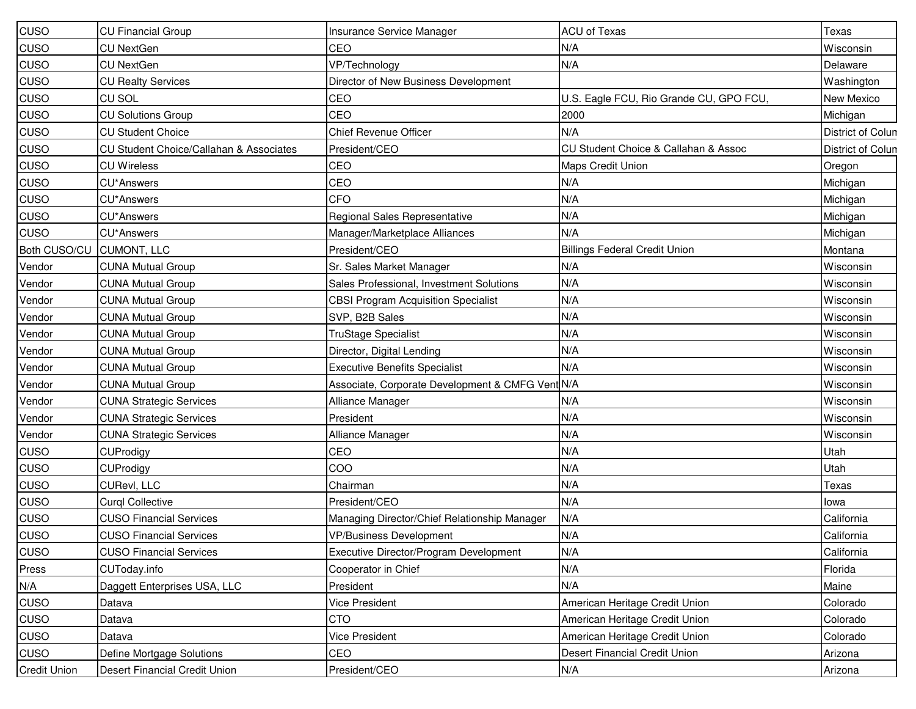| <b>CUSO</b>         | <b>CU Financial Group</b>               | Insurance Service Manager                        | <b>ACU of Texas</b>                                 | Texas             |
|---------------------|-----------------------------------------|--------------------------------------------------|-----------------------------------------------------|-------------------|
| <b>CUSO</b>         | <b>CU NextGen</b>                       | CEO                                              | N/A                                                 | Wisconsin         |
| <b>CUSO</b>         | <b>CU NextGen</b>                       | VP/Technology                                    | N/A                                                 | Delaware          |
| <b>CUSO</b>         | <b>CU Realty Services</b>               | Director of New Business Development             |                                                     | Washington        |
| <b>CUSO</b>         | <b>CU SOL</b>                           | CEO                                              | U.S. Eagle FCU, Rio Grande CU, GPO FCU,             | New Mexico        |
| <b>CUSO</b>         | <b>CU Solutions Group</b>               | <b>CEO</b>                                       | 2000                                                | Michigan          |
| <b>CUSO</b>         | <b>CU Student Choice</b>                | <b>Chief Revenue Officer</b>                     | N/A                                                 | District of Colun |
| <b>CUSO</b>         | CU Student Choice/Callahan & Associates | President/CEO                                    | <b>CU Student Choice &amp; Callahan &amp; Assoc</b> | District of Colun |
| <b>CUSO</b>         | <b>CU Wireless</b>                      | CEO                                              | <b>Maps Credit Union</b>                            | Oregon            |
| <b>CUSO</b>         | CU*Answers                              | CEO                                              | N/A                                                 | Michigan          |
| <b>CUSO</b>         | CU*Answers                              | <b>CFO</b>                                       | N/A                                                 | Michigan          |
| <b>CUSO</b>         | <b>CU*Answers</b>                       | Regional Sales Representative                    | N/A                                                 | Michigan          |
| <b>CUSO</b>         | CU*Answers                              | Manager/Marketplace Alliances                    | N/A                                                 | Michigan          |
| Both CUSO/CU        | CUMONT, LLC                             | President/CEO                                    | <b>Billings Federal Credit Union</b>                | Montana           |
| Vendor              | <b>CUNA Mutual Group</b>                | Sr. Sales Market Manager                         | N/A                                                 | Wisconsin         |
| Vendor              | <b>CUNA Mutual Group</b>                | Sales Professional, Investment Solutions         | N/A                                                 | Wisconsin         |
| Vendor              | <b>CUNA Mutual Group</b>                | <b>CBSI Program Acquisition Specialist</b>       | N/A                                                 | Wisconsin         |
| Vendor              | <b>CUNA Mutual Group</b>                | SVP, B2B Sales                                   | N/A                                                 | Wisconsin         |
| Vendor              | <b>CUNA Mutual Group</b>                | <b>TruStage Specialist</b>                       | N/A                                                 | Wisconsin         |
| Vendor              | <b>CUNA Mutual Group</b>                | Director, Digital Lending                        | N/A                                                 | Wisconsin         |
| Vendor              | <b>CUNA Mutual Group</b>                | <b>Executive Benefits Specialist</b>             | N/A                                                 | Wisconsin         |
| Vendor              | <b>CUNA Mutual Group</b>                | Associate, Corporate Development & CMFG Vent N/A |                                                     | Wisconsin         |
| Vendor              | <b>CUNA Strategic Services</b>          | Alliance Manager                                 | N/A                                                 | Wisconsin         |
| Vendor              | <b>CUNA Strategic Services</b>          | President                                        | N/A                                                 | Wisconsin         |
| Vendor              | <b>CUNA Strategic Services</b>          | Alliance Manager                                 | N/A                                                 | Wisconsin         |
| <b>CUSO</b>         | CUProdigy                               | CEO                                              | N/A                                                 | Utah              |
| <b>CUSO</b>         | CUProdigy                               | COO                                              | N/A                                                 | Utah              |
| <b>CUSO</b>         | CURevl, LLC                             | Chairman                                         | N/A                                                 | Texas             |
| CUSO                | <b>Curgl Collective</b>                 | President/CEO                                    | N/A                                                 | lowa              |
| <b>CUSO</b>         | <b>CUSO Financial Services</b>          | Managing Director/Chief Relationship Manager     | N/A                                                 | California        |
| CUSO                | <b>CUSO Financial Services</b>          | <b>VP/Business Development</b>                   | N/A                                                 | California        |
| CUSO                | <b>CUSO Financial Services</b>          | Executive Director/Program Development           | N/A                                                 | California        |
| Press               | CUToday.info                            | Cooperator in Chief                              | N/A                                                 | Florida           |
| N/A                 | Daggett Enterprises USA, LLC            | President                                        | N/A                                                 | Maine             |
| <b>CUSO</b>         | Datava                                  | Vice President                                   | American Heritage Credit Union                      | Colorado          |
| CUSO                | Datava                                  | <b>CTO</b>                                       | American Heritage Credit Union                      | Colorado          |
| <b>CUSO</b>         | Datava                                  | Vice President                                   | American Heritage Credit Union                      | Colorado          |
| <b>CUSO</b>         | Define Mortgage Solutions               | CEO                                              | Desert Financial Credit Union                       | Arizona           |
| <b>Credit Union</b> | Desert Financial Credit Union           | President/CEO                                    | N/A                                                 | Arizona           |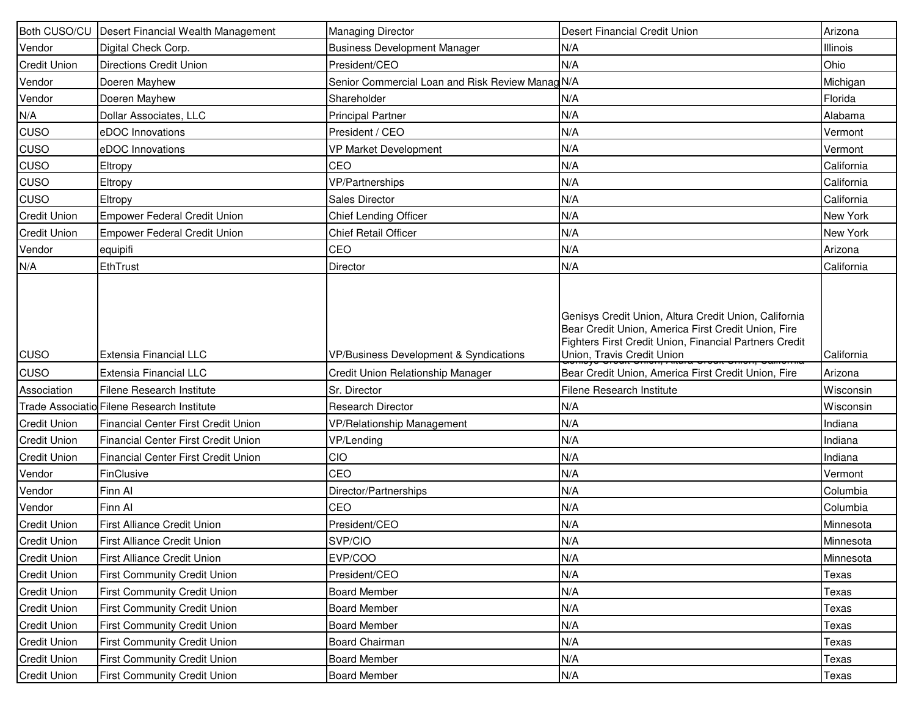|                     | Both CUSO/CU   Desert Financial Wealth Management | <b>Managing Director</b>                         | Desert Financial Credit Union                                                                                                                                                                        | Arizona    |
|---------------------|---------------------------------------------------|--------------------------------------------------|------------------------------------------------------------------------------------------------------------------------------------------------------------------------------------------------------|------------|
| Vendor              | Digital Check Corp.                               | <b>Business Development Manager</b>              | N/A                                                                                                                                                                                                  | Illinois   |
| <b>Credit Union</b> | <b>Directions Credit Union</b>                    | President/CEO                                    | N/A                                                                                                                                                                                                  | Ohio       |
| Vendor              | Doeren Mayhew                                     | Senior Commercial Loan and Risk Review Manag N/A |                                                                                                                                                                                                      | Michigan   |
| Vendor              | Doeren Mayhew                                     | Shareholder                                      | N/A                                                                                                                                                                                                  | Florida    |
| N/A                 | Dollar Associates, LLC                            | <b>Principal Partner</b>                         | N/A                                                                                                                                                                                                  | Alabama    |
| <b>CUSO</b>         | eDOC Innovations                                  | President / CEO                                  | N/A                                                                                                                                                                                                  | Vermont    |
| <b>CUSO</b>         | eDOC Innovations                                  | VP Market Development                            | N/A                                                                                                                                                                                                  | Vermont    |
| <b>CUSO</b>         | Eltropy                                           | CEO                                              | N/A                                                                                                                                                                                                  | California |
| <b>CUSO</b>         | Eltropy                                           | <b>VP/Partnerships</b>                           | N/A                                                                                                                                                                                                  | California |
| <b>CUSO</b>         | Eltropy                                           | Sales Director                                   | N/A                                                                                                                                                                                                  | California |
| <b>Credit Union</b> | <b>Empower Federal Credit Union</b>               | Chief Lending Officer                            | N/A                                                                                                                                                                                                  | New York   |
| <b>Credit Union</b> | <b>Empower Federal Credit Union</b>               | <b>Chief Retail Officer</b>                      | N/A                                                                                                                                                                                                  | New York   |
| Vendor              | equipifi                                          | CEO                                              | N/A                                                                                                                                                                                                  | Arizona    |
| N/A                 | EthTrust                                          | Director                                         | N/A                                                                                                                                                                                                  | California |
| <b>CUSO</b>         | Extensia Financial LLC                            | VP/Business Development & Syndications           | Genisys Credit Union, Altura Credit Union, California<br>Bear Credit Union, America First Credit Union, Fire<br>Fighters First Credit Union, Financial Partners Credit<br>Union, Travis Credit Union | California |
| <b>CUSO</b>         | Extensia Financial LLC                            | Credit Union Relationship Manager                | Bear Credit Union, America First Credit Union, Fire                                                                                                                                                  | Arizona    |
| Association         | <b>Filene Research Institute</b>                  | Sr. Director                                     | Filene Research Institute                                                                                                                                                                            | Wisconsin  |
|                     | Trade Associatio Filene Research Institute        | <b>Research Director</b>                         | N/A                                                                                                                                                                                                  | Wisconsin  |
| <b>Credit Union</b> | Financial Center First Credit Union               | <b>VP/Relationship Management</b>                | N/A                                                                                                                                                                                                  | Indiana    |
| <b>Credit Union</b> | <b>Financial Center First Credit Union</b>        | VP/Lending                                       | N/A                                                                                                                                                                                                  | Indiana    |
| <b>Credit Union</b> | Financial Center First Credit Union               | CIO                                              | N/A                                                                                                                                                                                                  | Indiana    |
| Vendor              | FinClusive                                        | CEO                                              | N/A                                                                                                                                                                                                  | Vermont    |
| Vendor              | Finn Al                                           | Director/Partnerships                            | N/A                                                                                                                                                                                                  | Columbia   |
| Vendor              | Finn Al                                           | CEO                                              | N/A                                                                                                                                                                                                  | Columbia   |
| <b>Credit Union</b> | First Alliance Credit Union                       | President/CEO                                    | N/A                                                                                                                                                                                                  | Minnesota  |
| <b>Credit Union</b> | First Alliance Credit Union                       | SVP/CIO                                          | N/A                                                                                                                                                                                                  | Minnesota  |
| <b>Credit Union</b> | <b>First Alliance Credit Union</b>                | EVP/COO                                          | N/A                                                                                                                                                                                                  | Minnesota  |
| <b>Credit Union</b> | <b>First Community Credit Union</b>               | President/CEO                                    | N/A                                                                                                                                                                                                  | Texas      |
| <b>Credit Union</b> | <b>First Community Credit Union</b>               | <b>Board Member</b>                              | N/A                                                                                                                                                                                                  | Texas      |
| <b>Credit Union</b> | <b>First Community Credit Union</b>               | <b>Board Member</b>                              | N/A                                                                                                                                                                                                  | Texas      |
| <b>Credit Union</b> | <b>First Community Credit Union</b>               | <b>Board Member</b>                              | N/A                                                                                                                                                                                                  | Texas      |
| <b>Credit Union</b> | <b>First Community Credit Union</b>               | <b>Board Chairman</b>                            | N/A                                                                                                                                                                                                  | Texas      |
| <b>Credit Union</b> | <b>First Community Credit Union</b>               | <b>Board Member</b>                              | N/A                                                                                                                                                                                                  | Texas      |
| <b>Credit Union</b> | <b>First Community Credit Union</b>               | <b>Board Member</b>                              | N/A                                                                                                                                                                                                  | Texas      |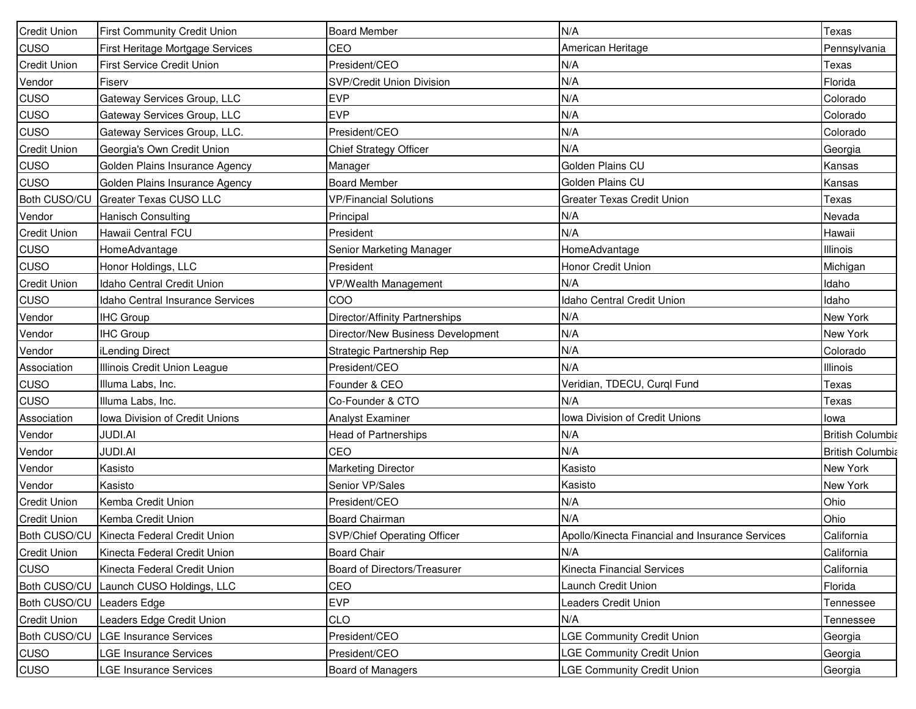| <b>Credit Union</b> | <b>First Community Credit Union</b>         | <b>Board Member</b>                | N/A                                             | Texas                   |
|---------------------|---------------------------------------------|------------------------------------|-------------------------------------------------|-------------------------|
| CUSO                | First Heritage Mortgage Services            | CEO                                | American Heritage                               | Pennsylvania            |
| <b>Credit Union</b> | First Service Credit Union                  | President/CEO                      | N/A                                             | Texas                   |
| Vendor              | Fiserv                                      | SVP/Credit Union Division          | N/A                                             | Florida                 |
| CUSO                | Gateway Services Group, LLC                 | <b>EVP</b>                         | N/A                                             | Colorado                |
| CUSO                | Gateway Services Group, LLC                 | <b>EVP</b>                         | N/A                                             | Colorado                |
| CUSO                | Gateway Services Group, LLC.                | President/CEO                      | N/A                                             | Colorado                |
| <b>Credit Union</b> | Georgia's Own Credit Union                  | Chief Strategy Officer             | N/A                                             | Georgia                 |
| CUSO                | Golden Plains Insurance Agency              | Manager                            | Golden Plains CU                                | Kansas                  |
| CUSO                | Golden Plains Insurance Agency              | <b>Board Member</b>                | Golden Plains CU                                | Kansas                  |
| Both CUSO/CU        | <b>Greater Texas CUSO LLC</b>               | <b>VP/Financial Solutions</b>      | <b>Greater Texas Credit Union</b>               | Texas                   |
| Vendor              | Hanisch Consulting                          | Principal                          | N/A                                             | Nevada                  |
| Credit Union        | Hawaii Central FCU                          | President                          | N/A                                             | Hawaii                  |
| CUSO                | HomeAdvantage                               | Senior Marketing Manager           | HomeAdvantage                                   | Illinois                |
| CUSO                | Honor Holdings, LLC                         | President                          | Honor Credit Union                              | Michigan                |
| <b>Credit Union</b> | Idaho Central Credit Union                  | VP/Wealth Management               | N/A                                             | Idaho                   |
| CUSO                | Idaho Central Insurance Services            | COO                                | Idaho Central Credit Union                      | Idaho                   |
| Vendor              | <b>IHC Group</b>                            | Director/Affinity Partnerships     | N/A                                             | New York                |
| Vendor              | <b>IHC Group</b>                            | Director/New Business Development  | N/A                                             | New York                |
| Vendor              | <b>iLending Direct</b>                      | Strategic Partnership Rep          | N/A                                             | Colorado                |
| Association         | Illinois Credit Union League                | President/CEO                      | N/A                                             | Illinois                |
| CUSO                | Illuma Labs, Inc.                           | Founder & CEO                      | Veridian, TDECU, Curql Fund                     | Texas                   |
| CUSO                | Illuma Labs, Inc.                           | Co-Founder & CTO                   | N/A                                             | Texas                   |
| Association         | Iowa Division of Credit Unions              | Analyst Examiner                   | Iowa Division of Credit Unions                  | lowa                    |
| Vendor              | <b>JUDI.AI</b>                              | <b>Head of Partnerships</b>        | N/A                                             | <b>British Columbia</b> |
| Vendor              | <b>JUDI.AI</b>                              | CEO                                | N/A                                             | <b>British Columbia</b> |
| Vendor              | Kasisto                                     | Marketing Director                 | Kasisto                                         | New York                |
| Vendor              | Kasisto                                     | Senior VP/Sales                    | Kasisto                                         | New York                |
| <b>Credit Union</b> | Kemba Credit Union                          | President/CEO                      | N/A                                             | Ohio                    |
| <b>Credit Union</b> | Kemba Credit Union                          | <b>Board Chairman</b>              | N/A                                             | Ohio                    |
|                     | Both CUSO/CU   Kinecta Federal Credit Union | <b>SVP/Chief Operating Officer</b> | Apollo/Kinecta Financial and Insurance Services | California              |
| <b>Credit Union</b> | Kinecta Federal Credit Union                | <b>Board Chair</b>                 | N/A                                             | California              |
| CUSO                | Kinecta Federal Credit Union                | Board of Directors/Treasurer       | Kinecta Financial Services                      | California              |
| Both CUSO/CU        | Launch CUSO Holdings, LLC                   | CEO                                | Launch Credit Union                             | Florida                 |
| Both CUSO/CU        | Leaders Edge                                | <b>EVP</b>                         | <b>Leaders Credit Union</b>                     | Tennessee               |
| Credit Union        | Leaders Edge Credit Union                   | <b>CLO</b>                         | N/A                                             | Tennessee               |
| Both CUSO/CU        | <b>LGE Insurance Services</b>               | President/CEO                      | <b>LGE Community Credit Union</b>               | Georgia                 |
| CUSO                | LGE Insurance Services                      | President/CEO                      | <b>LGE Community Credit Union</b>               | Georgia                 |
| CUSO                | LGE Insurance Services                      | Board of Managers                  | <b>LGE Community Credit Union</b>               | Georgia                 |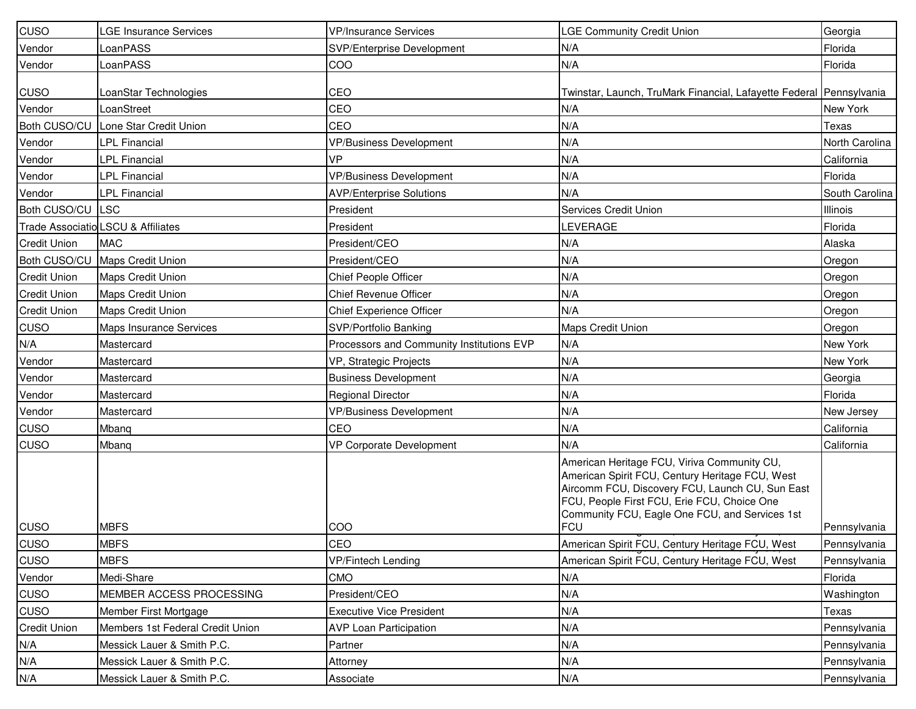| CUSO                | <b>GE Insurance Services</b>       | <b>VP/Insurance Services</b>              | <b>LGE Community Credit Union</b>                                                                                                                                                                                                                                | Georgia         |
|---------------------|------------------------------------|-------------------------------------------|------------------------------------------------------------------------------------------------------------------------------------------------------------------------------------------------------------------------------------------------------------------|-----------------|
| Vendor              | LoanPASS                           | SVP/Enterprise Development                | N/A                                                                                                                                                                                                                                                              | Florida         |
| Vendor              | LoanPASS                           | COO                                       | N/A                                                                                                                                                                                                                                                              | Florida         |
| CUSO                | LoanStar Technologies              | CEO                                       | Twinstar, Launch, TruMark Financial, Lafayette Federal Pennsylvania                                                                                                                                                                                              |                 |
| Vendor              | LoanStreet                         | CEO                                       | N/A                                                                                                                                                                                                                                                              | New York        |
| Both CUSO/CU        | Lone Star Credit Union             | CEO                                       | N/A                                                                                                                                                                                                                                                              | Texas           |
| Vendor              | <b>LPL Financial</b>               | <b>VP/Business Development</b>            | N/A                                                                                                                                                                                                                                                              | North Carolina  |
| Vendor              | LPL Financial                      | VP                                        | N/A                                                                                                                                                                                                                                                              | California      |
| Vendor              | LPL Financial                      | <b>VP/Business Development</b>            | N/A                                                                                                                                                                                                                                                              | Florida         |
| Vendor              | <b>LPL Financial</b>               | <b>AVP/Enterprise Solutions</b>           | N/A                                                                                                                                                                                                                                                              | South Carolina  |
| Both CUSO/CU LSC    |                                    | President                                 | <b>Services Credit Union</b>                                                                                                                                                                                                                                     | <b>Illinois</b> |
|                     | Trade Associatio LSCU & Affiliates | President                                 | <b>LEVERAGE</b>                                                                                                                                                                                                                                                  | Florida         |
| <b>Credit Union</b> | <b>MAC</b>                         | President/CEO                             | N/A                                                                                                                                                                                                                                                              | Alaska          |
| Both CUSO/CU        | Maps Credit Union                  | President/CEO                             | N/A                                                                                                                                                                                                                                                              | Oregon          |
| <b>Credit Union</b> | <b>Maps Credit Union</b>           | Chief People Officer                      | N/A                                                                                                                                                                                                                                                              | Oregon          |
| <b>Credit Union</b> | Maps Credit Union                  | Chief Revenue Officer                     | N/A                                                                                                                                                                                                                                                              | Oregon          |
| <b>Credit Union</b> | Maps Credit Union                  | Chief Experience Officer                  | N/A                                                                                                                                                                                                                                                              | Oregon          |
| CUSO                | <b>Maps Insurance Services</b>     | SVP/Portfolio Banking                     | <b>Maps Credit Union</b>                                                                                                                                                                                                                                         | Oregon          |
| N/A                 | Mastercard                         | Processors and Community Institutions EVP | N/A                                                                                                                                                                                                                                                              | New York        |
| Vendor              | Mastercard                         | VP, Strategic Projects                    | N/A                                                                                                                                                                                                                                                              | New York        |
| Vendor              | Mastercard                         | <b>Business Development</b>               | N/A                                                                                                                                                                                                                                                              | Georgia         |
| Vendor              | Mastercard                         | <b>Regional Director</b>                  | N/A                                                                                                                                                                                                                                                              | Florida         |
| Vendor              | Mastercard                         | <b>VP/Business Development</b>            | N/A                                                                                                                                                                                                                                                              | New Jersey      |
| CUSO                | Mbanq                              | CEO                                       | N/A                                                                                                                                                                                                                                                              | California      |
| CUSO                | Mbang                              | <b>VP Corporate Development</b>           | N/A                                                                                                                                                                                                                                                              | California      |
| <b>CUSO</b>         | <b>MBFS</b>                        | COO                                       | American Heritage FCU, Viriva Community CU,<br>American Spirit FCU, Century Heritage FCU, West<br>Aircomm FCU, Discovery FCU, Launch CU, Sun East<br>FCU, People First FCU, Erie FCU, Choice One<br>Community FCU, Eagle One FCU, and Services 1st<br><b>FCU</b> | Pennsylvania    |
| CUSO                | <b>MBFS</b>                        | CEO                                       | American Spirit FCU, Century Heritage FCU, West                                                                                                                                                                                                                  | Pennsylvania    |
| <b>CUSO</b>         | <b>MBFS</b>                        | VP/Fintech Lending                        | American Spirit FCU, Century Heritage FCU, West                                                                                                                                                                                                                  | Pennsylvania    |
| Vendor              | Medi-Share                         | <b>CMO</b>                                | N/A                                                                                                                                                                                                                                                              | Florida         |
| CUSO                | MEMBER ACCESS PROCESSING           | President/CEO                             | N/A                                                                                                                                                                                                                                                              | Washington      |
| <b>CUSO</b>         | Member First Mortgage              | <b>Executive Vice President</b>           | N/A                                                                                                                                                                                                                                                              | Texas           |
| <b>Credit Union</b> | Members 1st Federal Credit Union   | <b>AVP Loan Participation</b>             | N/A                                                                                                                                                                                                                                                              | Pennsylvania    |
| N/A                 | Messick Lauer & Smith P.C.         | Partner                                   | N/A                                                                                                                                                                                                                                                              | Pennsylvania    |
| N/A                 | Messick Lauer & Smith P.C.         | Attorney                                  | N/A                                                                                                                                                                                                                                                              | Pennsylvania    |
| N/A                 | Messick Lauer & Smith P.C.         | Associate                                 | N/A                                                                                                                                                                                                                                                              | Pennsylvania    |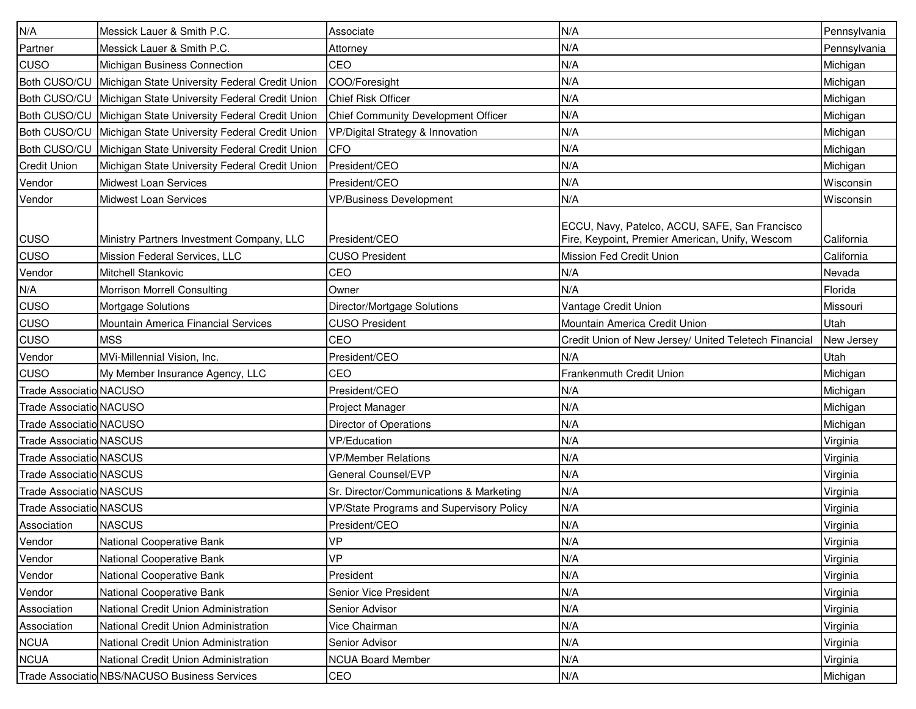| N/A                            | Messick Lauer & Smith P.C.                     | Associate                                       | N/A                                                                                               | Pennsylvania |
|--------------------------------|------------------------------------------------|-------------------------------------------------|---------------------------------------------------------------------------------------------------|--------------|
| Partner                        | Messick Lauer & Smith P.C.                     | Attorney                                        | N/A                                                                                               | Pennsylvania |
| <b>CUSO</b>                    | Michigan Business Connection                   | CEO                                             | N/A                                                                                               | Michigan     |
| Both CUSO/CU                   | Michigan State University Federal Credit Union | COO/Foresight                                   | N/A                                                                                               | Michigan     |
| Both CUSO/CU                   | Michigan State University Federal Credit Union | <b>Chief Risk Officer</b>                       | N/A                                                                                               | Michigan     |
| Both CUSO/CU                   | Michigan State University Federal Credit Union | Chief Community Development Officer             | N/A                                                                                               | Michigan     |
| Both CUSO/CU                   | Michigan State University Federal Credit Union | VP/Digital Strategy & Innovation                | N/A                                                                                               | Michigan     |
| Both CUSO/CU                   | Michigan State University Federal Credit Union | <b>CFO</b>                                      | N/A                                                                                               | Michigan     |
| <b>Credit Union</b>            | Michigan State University Federal Credit Union | President/CEO                                   | N/A                                                                                               | Michigan     |
| Vendor                         | <b>Midwest Loan Services</b>                   | President/CEO                                   | N/A                                                                                               | Wisconsin    |
| Vendor                         | <b>Midwest Loan Services</b>                   | <b>VP/Business Development</b>                  | N/A                                                                                               | Wisconsin    |
| <b>CUSO</b>                    | Ministry Partners Investment Company, LLC      | President/CEO                                   | ECCU, Navy, Patelco, ACCU, SAFE, San Francisco<br>Fire, Keypoint, Premier American, Unify, Wescom | California   |
| <b>CUSO</b>                    | Mission Federal Services, LLC                  | <b>CUSO President</b>                           | Mission Fed Credit Union                                                                          | California   |
| Vendor                         | Mitchell Stankovic                             | CEO                                             | N/A                                                                                               | Nevada       |
| N/A                            | Morrison Morrell Consulting                    | Owner                                           | N/A                                                                                               | Florida      |
| CUSO                           | Mortgage Solutions                             | Director/Mortgage Solutions                     | Vantage Credit Union                                                                              | Missouri     |
| <b>CUSO</b>                    | Mountain America Financial Services            | <b>CUSO President</b>                           | Mountain America Credit Union                                                                     | Utah         |
| <b>CUSO</b>                    | <b>MSS</b>                                     | CEO                                             | Credit Union of New Jersey/ United Teletech Financial                                             | New Jersey   |
| Vendor                         | MVi-Millennial Vision, Inc.                    | President/CEO                                   | N/A                                                                                               | Utah         |
| <b>CUSO</b>                    | My Member Insurance Agency, LLC                | CEO                                             | Frankenmuth Credit Union                                                                          | Michigan     |
| <b>Trade Associatio NACUSO</b> |                                                | President/CEO                                   | N/A                                                                                               | Michigan     |
| <b>Trade Associatio NACUSO</b> |                                                | Project Manager                                 | N/A                                                                                               | Michigan     |
| <b>Trade Associatio NACUSO</b> |                                                | Director of Operations                          | N/A                                                                                               | Michigan     |
| <b>Trade Associatio NASCUS</b> |                                                | <b>VP/Education</b>                             | N/A                                                                                               | Virginia     |
| <b>Trade Associatio NASCUS</b> |                                                | <b>VP/Member Relations</b>                      | N/A                                                                                               | Virginia     |
| <b>Trade Associatio NASCUS</b> |                                                | General Counsel/EVP                             | N/A                                                                                               | Virginia     |
| <b>Trade Associatio NASCUS</b> |                                                | Sr. Director/Communications & Marketing         | N/A                                                                                               | Virginia     |
| <b>Trade Associatio NASCUS</b> |                                                | <b>VP/State Programs and Supervisory Policy</b> | N/A                                                                                               | Virginia     |
| Association                    | <b>NASCUS</b>                                  | President/CEO                                   | N/A                                                                                               | Virginia     |
| Vendor                         | National Cooperative Bank                      | <b>VP</b>                                       | N/A                                                                                               | Virginia     |
| Vendor                         | National Cooperative Bank                      | <b>VP</b>                                       | N/A                                                                                               | Virginia     |
| Vendor                         | National Cooperative Bank                      | President                                       | N/A                                                                                               | Virginia     |
| Vendor                         | National Cooperative Bank                      | Senior Vice President                           | N/A                                                                                               | Virginia     |
| Association                    | National Credit Union Administration           | Senior Advisor                                  | N/A                                                                                               | Virginia     |
| Association                    | National Credit Union Administration           | Vice Chairman                                   | N/A                                                                                               | Virginia     |
| <b>NCUA</b>                    | National Credit Union Administration           | Senior Advisor                                  | N/A                                                                                               | Virginia     |
| <b>NCUA</b>                    | National Credit Union Administration           | <b>NCUA Board Member</b>                        | N/A                                                                                               | Virginia     |
|                                | Trade Associatio NBS/NACUSO Business Services  | CEO                                             | N/A                                                                                               | Michigan     |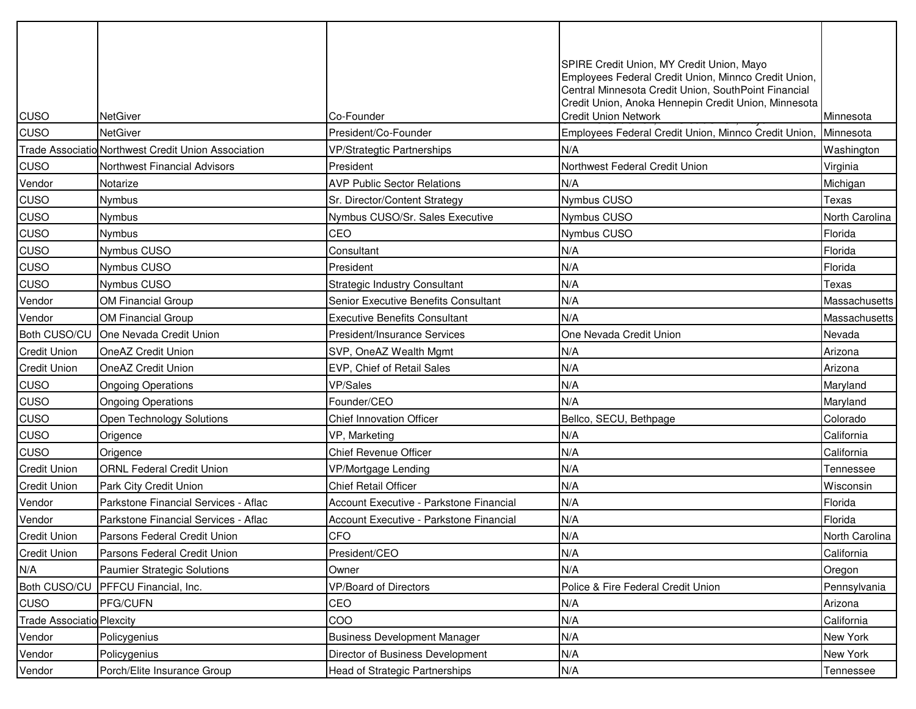| CUSO                             | <b>NetGiver</b>                                     | Co-Founder                              | SPIRE Credit Union, MY Credit Union, Mayo<br>Employees Federal Credit Union, Minnco Credit Union,<br>Central Minnesota Credit Union, SouthPoint Financial<br>Credit Union, Anoka Hennepin Credit Union, Minnesota<br><b>Credit Union Network</b> | Minnesota      |
|----------------------------------|-----------------------------------------------------|-----------------------------------------|--------------------------------------------------------------------------------------------------------------------------------------------------------------------------------------------------------------------------------------------------|----------------|
| <b>CUSO</b>                      | <b>NetGiver</b>                                     | President/Co-Founder                    | Employees Federal Credit Union, Minnco Credit Union,                                                                                                                                                                                             | Minnesota      |
|                                  | Trade Associatio Northwest Credit Union Association | <b>VP/Strategtic Partnerships</b>       | N/A                                                                                                                                                                                                                                              | Washington     |
| <b>CUSO</b>                      | Northwest Financial Advisors                        | President                               | Northwest Federal Credit Union                                                                                                                                                                                                                   | Virginia       |
| Vendor                           | Notarize                                            | <b>AVP Public Sector Relations</b>      | N/A                                                                                                                                                                                                                                              | Michigan       |
| <b>CUSO</b>                      | Nymbus                                              | Sr. Director/Content Strategy           | <b>Nymbus CUSO</b>                                                                                                                                                                                                                               | Texas          |
| <b>CUSO</b>                      | Nymbus                                              | Nymbus CUSO/Sr. Sales Executive         | Nymbus CUSO                                                                                                                                                                                                                                      | North Carolina |
| <b>CUSO</b>                      | <b>Nymbus</b>                                       | CEO                                     | Nymbus CUSO                                                                                                                                                                                                                                      | Florida        |
| <b>CUSO</b>                      | Nymbus CUSO                                         | Consultant                              | N/A                                                                                                                                                                                                                                              | Florida        |
| <b>CUSO</b>                      | <b>Nymbus CUSO</b>                                  | President                               | N/A                                                                                                                                                                                                                                              | Florida        |
| <b>CUSO</b>                      | <b>Nymbus CUSO</b>                                  | <b>Strategic Industry Consultant</b>    | N/A                                                                                                                                                                                                                                              | Texas          |
| Vendor                           | <b>OM Financial Group</b>                           | Senior Executive Benefits Consultant    | N/A                                                                                                                                                                                                                                              | Massachusetts  |
| Vendor                           | <b>OM Financial Group</b>                           | <b>Executive Benefits Consultant</b>    | N/A                                                                                                                                                                                                                                              | Massachusetts  |
| Both CUSO/CU                     | One Nevada Credit Union                             | President/Insurance Services            | One Nevada Credit Union                                                                                                                                                                                                                          | Nevada         |
| <b>Credit Union</b>              | <b>OneAZ Credit Union</b>                           | SVP, OneAZ Wealth Mgmt                  | N/A                                                                                                                                                                                                                                              | Arizona        |
| <b>Credit Union</b>              | <b>OneAZ Credit Union</b>                           | EVP, Chief of Retail Sales              | N/A                                                                                                                                                                                                                                              | Arizona        |
| CUSO                             | <b>Ongoing Operations</b>                           | VP/Sales                                | N/A                                                                                                                                                                                                                                              | Maryland       |
| <b>CUSO</b>                      | <b>Ongoing Operations</b>                           | Founder/CEO                             | N/A                                                                                                                                                                                                                                              | Maryland       |
| <b>CUSO</b>                      | Open Technology Solutions                           | <b>Chief Innovation Officer</b>         | Bellco, SECU, Bethpage                                                                                                                                                                                                                           | Colorado       |
| <b>CUSO</b>                      | Origence                                            | VP, Marketing                           | N/A                                                                                                                                                                                                                                              | California     |
| <b>CUSO</b>                      | Origence                                            | <b>Chief Revenue Officer</b>            | N/A                                                                                                                                                                                                                                              | California     |
| <b>Credit Union</b>              | <b>ORNL Federal Credit Union</b>                    | VP/Mortgage Lending                     | N/A                                                                                                                                                                                                                                              | Tennessee      |
| <b>Credit Union</b>              | Park City Credit Union                              | <b>Chief Retail Officer</b>             | N/A                                                                                                                                                                                                                                              | Wisconsin      |
| Vendor                           | Parkstone Financial Services - Aflac                | Account Executive - Parkstone Financial | N/A                                                                                                                                                                                                                                              | Florida        |
| Vendor                           | Parkstone Financial Services - Aflac                | Account Executive - Parkstone Financial | N/A                                                                                                                                                                                                                                              | Florida        |
| <b>Credit Union</b>              | Parsons Federal Credit Union                        | <b>CFO</b>                              | N/A                                                                                                                                                                                                                                              | North Carolina |
| <b>Credit Union</b>              | Parsons Federal Credit Union                        | President/CEO                           | N/A                                                                                                                                                                                                                                              | California     |
| N/A                              | <b>Paumier Strategic Solutions</b>                  | Owner                                   | N/A                                                                                                                                                                                                                                              | Oregon         |
| Both CUSO/CU                     | <b>PFFCU Financial, Inc.</b>                        | VP/Board of Directors                   | Police & Fire Federal Credit Union                                                                                                                                                                                                               | Pennsylvania   |
| <b>CUSO</b>                      | PFG/CUFN                                            | CEO                                     | N/A                                                                                                                                                                                                                                              | Arizona        |
| <b>Trade Associatio Plexcity</b> |                                                     | COO                                     | N/A                                                                                                                                                                                                                                              | California     |
| Vendor                           | Policygenius                                        | <b>Business Development Manager</b>     | N/A                                                                                                                                                                                                                                              | New York       |
| Vendor                           | Policygenius                                        | Director of Business Development        | N/A                                                                                                                                                                                                                                              | New York       |
| Vendor                           | Porch/Elite Insurance Group                         | Head of Strategic Partnerships          | N/A                                                                                                                                                                                                                                              | Tennessee      |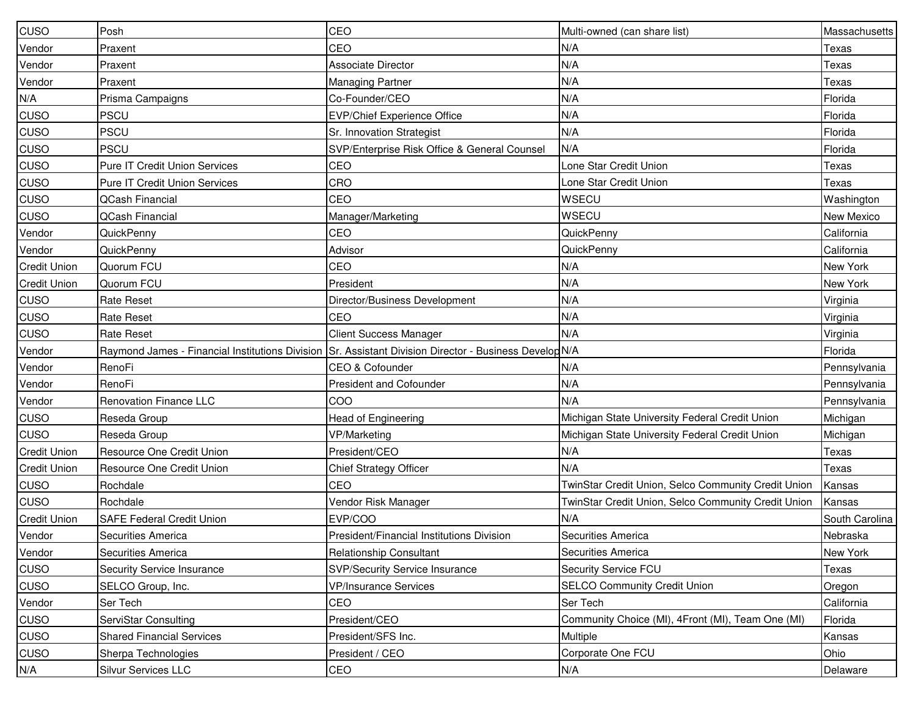| <b>CUSO</b>         | Posh                                 | CEO                                                                                                    | Multi-owned (can share list)                        | Massachusetts  |
|---------------------|--------------------------------------|--------------------------------------------------------------------------------------------------------|-----------------------------------------------------|----------------|
| Vendor              | Praxent                              | CEO                                                                                                    | N/A                                                 | Texas          |
| Vendor              | Praxent                              | <b>Associate Director</b>                                                                              | N/A                                                 | Texas          |
| Vendor              | Praxent                              | <b>Managing Partner</b>                                                                                | N/A                                                 | Texas          |
| N/A                 | Prisma Campaigns                     | Co-Founder/CEO                                                                                         | N/A                                                 | Florida        |
| CUSO                | <b>PSCU</b>                          | <b>EVP/Chief Experience Office</b>                                                                     | N/A                                                 | Florida        |
| CUSO                | PSCU                                 | Sr. Innovation Strategist                                                                              | N/A                                                 | Florida        |
| CUSO                | <b>PSCU</b>                          | SVP/Enterprise Risk Office & General Counsel                                                           | N/A                                                 | Florida        |
| CUSO                | Pure IT Credit Union Services        | CEO                                                                                                    | Lone Star Credit Union                              | Texas          |
| CUSO                | <b>Pure IT Credit Union Services</b> | CRO                                                                                                    | Lone Star Credit Union                              | Texas          |
| CUSO                | <b>QCash Financial</b>               | CEO                                                                                                    | <b>WSECU</b>                                        | Washington     |
| CUSO                | <b>QCash Financial</b>               | Manager/Marketing                                                                                      | WSECU                                               | New Mexico     |
| Vendor              | QuickPenny                           | CEO                                                                                                    | QuickPenny                                          | California     |
| Vendor              | QuickPenny                           | Advisor                                                                                                | QuickPenny                                          | California     |
| <b>Credit Union</b> | Quorum FCU                           | CEO                                                                                                    | N/A                                                 | New York       |
| <b>Credit Union</b> | Quorum FCU                           | President                                                                                              | N/A                                                 | New York       |
| CUSO                | <b>Rate Reset</b>                    | Director/Business Development                                                                          | N/A                                                 | Virginia       |
| CUSO                | <b>Rate Reset</b>                    | CEO                                                                                                    | N/A                                                 | Virginia       |
| CUSO                | <b>Rate Reset</b>                    | <b>Client Success Manager</b>                                                                          | N/A                                                 | Virginia       |
| Vendor              |                                      | Raymond James - Financial Institutions Division Sr. Assistant Division Director - Business Develop N/A |                                                     | Florida        |
| Vendor              | RenoFi                               | CEO & Cofounder                                                                                        | N/A                                                 | Pennsylvania   |
| Vendor              | RenoFi                               | <b>President and Cofounder</b>                                                                         | N/A                                                 | Pennsylvania   |
| Vendor              | <b>Renovation Finance LLC</b>        | COO                                                                                                    | N/A                                                 | Pennsylvania   |
| CUSO                | Reseda Group                         | <b>Head of Engineering</b>                                                                             | Michigan State University Federal Credit Union      | Michigan       |
| <b>CUSO</b>         | Reseda Group                         | <b>VP/Marketing</b>                                                                                    | Michigan State University Federal Credit Union      | Michigan       |
| <b>Credit Union</b> | Resource One Credit Union            | President/CEO                                                                                          | N/A                                                 | Texas          |
| <b>Credit Union</b> | Resource One Credit Union            | <b>Chief Strategy Officer</b>                                                                          | N/A                                                 | Texas          |
| CUSO                | Rochdale                             | CEO                                                                                                    | TwinStar Credit Union, Selco Community Credit Union | Kansas         |
| <b>CUSO</b>         | Rochdale                             | Vendor Risk Manager                                                                                    | TwinStar Credit Union, Selco Community Credit Union | Kansas         |
| <b>Credit Union</b> | <b>SAFE Federal Credit Union</b>     | EVP/COO                                                                                                | N/A                                                 | South Carolina |
| Vendor              | Securities America                   | President/Financial Institutions Division                                                              | Securities America                                  | Nebraska       |
| Vendor              | Securities America                   | <b>Relationship Consultant</b>                                                                         | Securities America                                  | New York       |
| <b>CUSO</b>         | Security Service Insurance           | SVP/Security Service Insurance                                                                         | Security Service FCU                                | Texas          |
| <b>CUSO</b>         | SELCO Group, Inc.                    | <b>VP/Insurance Services</b>                                                                           | <b>SELCO Community Credit Union</b>                 | Oregon         |
| Vendor              | Ser Tech                             | CEO                                                                                                    | Ser Tech                                            | California     |
| CUSO                | ServiStar Consulting                 | President/CEO                                                                                          | Community Choice (MI), 4Front (MI), Team One (MI)   | Florida        |
| <b>CUSO</b>         | <b>Shared Financial Services</b>     | President/SFS Inc.                                                                                     | Multiple                                            | Kansas         |
| <b>CUSO</b>         | Sherpa Technologies                  | President / CEO                                                                                        | Corporate One FCU                                   | Ohio           |
| N/A                 | Silvur Services LLC                  | CEO                                                                                                    | N/A                                                 | Delaware       |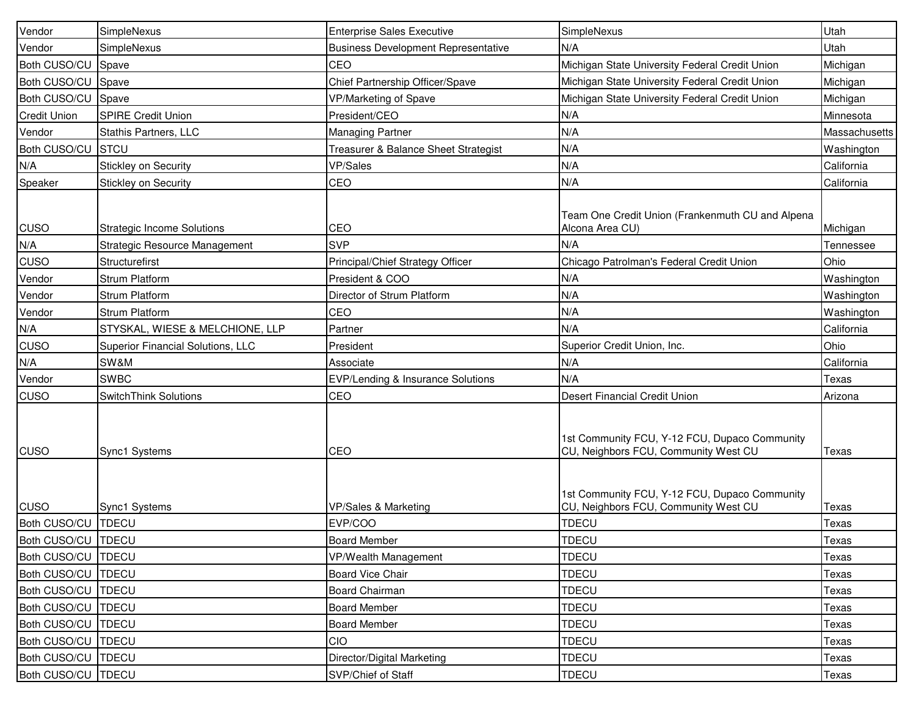| Vendor               | SimpleNexus                       | <b>Enterprise Sales Executive</b>          | SimpleNexus                                                                           | Utah          |
|----------------------|-----------------------------------|--------------------------------------------|---------------------------------------------------------------------------------------|---------------|
| Vendor               | SimpleNexus                       | <b>Business Development Representative</b> | N/A                                                                                   | Utah          |
| <b>Both CUSO/CU</b>  | Spave                             | CEO                                        | Michigan State University Federal Credit Union                                        | Michigan      |
| Both CUSO/CU         | Spave                             | Chief Partnership Officer/Spave            | Michigan State University Federal Credit Union                                        | Michigan      |
| <b>Both CUSO/CU</b>  | Spave                             | VP/Marketing of Spave                      | Michigan State University Federal Credit Union                                        | Michigan      |
| <b>Credit Union</b>  | <b>SPIRE Credit Union</b>         | President/CEO                              | N/A                                                                                   | Minnesota     |
| Vendor               | Stathis Partners, LLC             | <b>Managing Partner</b>                    | N/A                                                                                   | Massachusetts |
| <b>Both CUSO/CU</b>  | <b>STCU</b>                       | Treasurer & Balance Sheet Strategist       | N/A                                                                                   | Washington    |
| N/A                  | Stickley on Security              | VP/Sales                                   | N/A                                                                                   | California    |
| Speaker              | Stickley on Security              | CEO                                        | N/A                                                                                   | California    |
| <b>CUSO</b>          | <b>Strategic Income Solutions</b> | CEO                                        | Team One Credit Union (Frankenmuth CU and Alpena<br>Alcona Area CU)                   | Michigan      |
| N/A                  | Strategic Resource Management     | <b>SVP</b>                                 | N/A                                                                                   | Tennessee     |
| <b>CUSO</b>          | Structurefirst                    | Principal/Chief Strategy Officer           | Chicago Patrolman's Federal Credit Union                                              | Ohio          |
| Vendor               | <b>Strum Platform</b>             | President & COO                            | N/A                                                                                   | Washington    |
| Vendor               | <b>Strum Platform</b>             | Director of Strum Platform                 | N/A                                                                                   | Washington    |
| Vendor               | Strum Platform                    | CEO                                        | N/A                                                                                   | Washington    |
| N/A                  | STYSKAL, WIESE & MELCHIONE, LLP   | Partner                                    | N/A                                                                                   | California    |
| <b>CUSO</b>          | Superior Financial Solutions, LLC | President                                  | Superior Credit Union, Inc.                                                           | Ohio          |
| N/A                  | SW&M                              | Associate                                  | N/A                                                                                   | California    |
| Vendor               | <b>SWBC</b>                       | EVP/Lending & Insurance Solutions          | N/A                                                                                   | Texas         |
| CUSO                 | SwitchThink Solutions             | CEO                                        | Desert Financial Credit Union                                                         | Arizona       |
| <b>CUSO</b>          | Sync1 Systems                     | CEO                                        | 1st Community FCU, Y-12 FCU, Dupaco Community<br>CU, Neighbors FCU, Community West CU | Texas         |
| <b>CUSO</b>          | Sync1 Systems                     | VP/Sales & Marketing                       | 1st Community FCU, Y-12 FCU, Dupaco Community<br>CU, Neighbors FCU, Community West CU | Texas         |
| Both CUSO/CU   TDECU |                                   | EVP/COO                                    | <b>TDECU</b>                                                                          | Texas         |
| Both CUSO/CU TDECU   |                                   | <b>Board Member</b>                        | <b>TDECU</b>                                                                          | Texas         |
| Both CUSO/CU   TDECU |                                   | VP/Wealth Management                       | <b>TDECU</b>                                                                          | Texas         |
| Both CUSO/CU   TDECU |                                   | <b>Board Vice Chair</b>                    | <b>TDECU</b>                                                                          | Texas         |
| Both CUSO/CU   TDECU |                                   | Board Chairman                             | <b>TDECU</b>                                                                          | Texas         |
| Both CUSO/CU   TDECU |                                   | <b>Board Member</b>                        | <b>TDECU</b>                                                                          | Texas         |
| Both CUSO/CU   TDECU |                                   | <b>Board Member</b>                        | <b>TDECU</b>                                                                          | Texas         |
| Both CUSO/CU   TDECU |                                   | CIO                                        | <b>TDECU</b>                                                                          | Texas         |
| Both CUSO/CU TDECU   |                                   | Director/Digital Marketing                 | <b>TDECU</b>                                                                          | Texas         |
| Both CUSO/CU   TDECU |                                   | SVP/Chief of Staff                         | <b>TDECU</b>                                                                          | Texas         |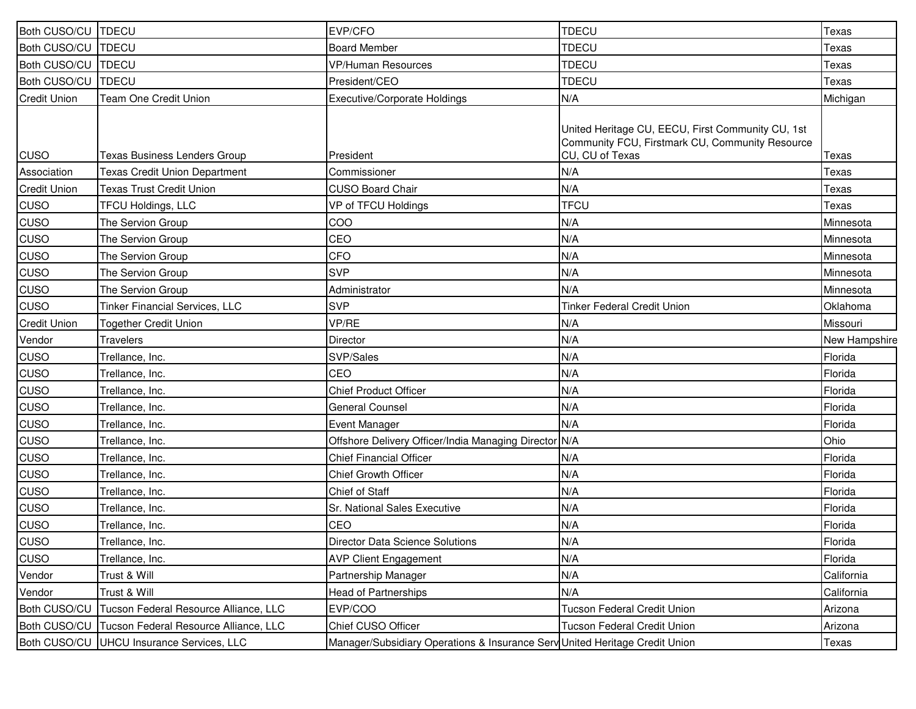| Both CUSO/CU   TDECU |                                       | EVP/CFO                                                                     | <b>TDECU</b>                                                                                                            | Texas         |
|----------------------|---------------------------------------|-----------------------------------------------------------------------------|-------------------------------------------------------------------------------------------------------------------------|---------------|
| Both CUSO/CU   TDECU |                                       | <b>Board Member</b>                                                         | <b>TDECU</b>                                                                                                            | Texas         |
| Both CUSO/CU   TDECU |                                       | <b>VP/Human Resources</b>                                                   | <b>TDECU</b>                                                                                                            | Texas         |
| Both CUSO/CU         | <b>TDECU</b>                          | President/CEO                                                               | <b>TDECU</b>                                                                                                            | Texas         |
| <b>Credit Union</b>  | Team One Credit Union                 | <b>Executive/Corporate Holdings</b>                                         | N/A                                                                                                                     | Michigan      |
| <b>CUSO</b>          | Texas Business Lenders Group          | President                                                                   | United Heritage CU, EECU, First Community CU, 1st<br>Community FCU, Firstmark CU, Community Resource<br>CU, CU of Texas | Texas         |
| Association          | <b>Texas Credit Union Department</b>  | Commissioner                                                                | N/A                                                                                                                     | Texas         |
| <b>Credit Union</b>  | <b>Texas Trust Credit Union</b>       | <b>CUSO Board Chair</b>                                                     | N/A                                                                                                                     | Texas         |
| CUSO                 | TFCU Holdings, LLC                    | VP of TFCU Holdings                                                         | <b>TFCU</b>                                                                                                             | Texas         |
| CUSO                 | The Servion Group                     | COO                                                                         | N/A                                                                                                                     | Minnesota     |
| CUSO                 | The Servion Group                     | CEO                                                                         | N/A                                                                                                                     | Minnesota     |
| CUSO                 | The Servion Group                     | CFO                                                                         | N/A                                                                                                                     | Minnesota     |
| CUSO                 | The Servion Group                     | <b>SVP</b>                                                                  | N/A                                                                                                                     | Minnesota     |
| <b>CUSO</b>          | The Servion Group                     | Administrator                                                               | N/A                                                                                                                     | Minnesota     |
| <b>CUSO</b>          | Tinker Financial Services, LLC        | <b>SVP</b>                                                                  | <b>Tinker Federal Credit Union</b>                                                                                      | Oklahoma      |
| <b>Credit Union</b>  | <b>Together Credit Union</b>          | VP/RE                                                                       | N/A                                                                                                                     | Missouri      |
| Vendor               | <b>Travelers</b>                      | Director                                                                    | N/A                                                                                                                     | New Hampshire |
| CUSO                 | Trellance, Inc.                       | SVP/Sales                                                                   | N/A                                                                                                                     | Florida       |
| CUSO                 | Trellance, Inc.                       | CEO                                                                         | N/A                                                                                                                     | Florida       |
| CUSO                 | Trellance, Inc.                       | <b>Chief Product Officer</b>                                                | N/A                                                                                                                     | Florida       |
| <b>CUSO</b>          | Trellance, Inc.                       | <b>General Counsel</b>                                                      | N/A                                                                                                                     | Florida       |
| <b>CUSO</b>          | Trellance, Inc.                       | Event Manager                                                               | N/A                                                                                                                     | Florida       |
| <b>CUSO</b>          | Trellance, Inc.                       | Offshore Delivery Officer/India Managing Director N/A                       |                                                                                                                         | Ohio          |
| <b>CUSO</b>          | Trellance, Inc.                       | <b>Chief Financial Officer</b>                                              | N/A                                                                                                                     | Florida       |
| CUSO                 | Trellance, Inc.                       | <b>Chief Growth Officer</b>                                                 | N/A                                                                                                                     | Florida       |
| <b>CUSO</b>          | Trellance, Inc.                       | Chief of Staff                                                              | N/A                                                                                                                     | Florida       |
| <b>CUSO</b>          | Trellance, Inc.                       | Sr. National Sales Executive                                                | N/A                                                                                                                     | Florida       |
| CUSO                 | Trellance, Inc.                       | CEO                                                                         | N/A                                                                                                                     | Florida       |
| <b>CUSO</b>          | Trellance, Inc.                       | Director Data Science Solutions                                             | N/A                                                                                                                     | Florida       |
| CUSO                 | Trellance, Inc.                       | <b>AVP Client Engagement</b>                                                | N/A                                                                                                                     | Florida       |
| Vendor               | Trust & Will                          | Partnership Manager                                                         | N/A                                                                                                                     | California    |
| Vendor               | Trust & Will                          | <b>Head of Partnerships</b>                                                 | N/A                                                                                                                     | California    |
| <b>Both CUSO/CU</b>  | Tucson Federal Resource Alliance, LLC | EVP/COO                                                                     | Tucson Federal Credit Union                                                                                             | Arizona       |
| <b>Both CUSO/CU</b>  | Tucson Federal Resource Alliance, LLC | Chief CUSO Officer                                                          | Tucson Federal Credit Union                                                                                             | Arizona       |
| <b>Both CUSO/CU</b>  | UHCU Insurance Services, LLC          | Manager/Subsidiary Operations & Insurance Sery United Heritage Credit Union |                                                                                                                         | Texas         |